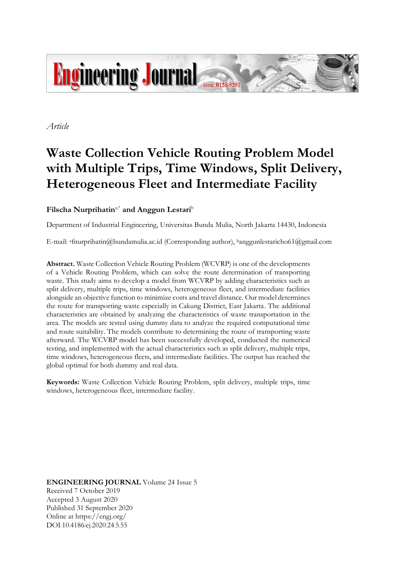

*Article*

# **Waste Collection Vehicle Routing Problem Model with Multiple Trips, Time Windows, Split Delivery, Heterogeneous Fleet and Intermediate Facility**

# **Filscha Nurprihatin**a,\* **and Anggun Lestari**<sup>b</sup>

Department of Industrial Engineering, Universitas Bunda Mulia, North Jakarta 14430, Indonesia

E-mail: a[fnurprihatin@bundamulia.ac.id](mailto:a,*fnurprihatin@bundamulia.ac.id) (Corresponding author), <sup>b</sup>anggunlestaricho61@gmail.com

**Abstract.** Waste Collection Vehicle Routing Problem (WCVRP) is one of the developments of a Vehicle Routing Problem, which can solve the route determination of transporting waste. This study aims to develop a model from WCVRP by adding characteristics such as split delivery, multiple trips, time windows, heterogeneous fleet, and intermediate facilities alongside an objective function to minimize costs and travel distance. Our model determines the route for transporting waste especially in Cakung District, East Jakarta. The additional characteristics are obtained by analyzing the characteristics of waste transportation in the area. The models are tested using dummy data to analyze the required computational time and route suitability. The models contribute to determining the route of transporting waste afterward. The WCVRP model has been successfully developed, conducted the numerical testing, and implemented with the actual characteristics such as split delivery, multiple trips, time windows, heterogeneous fleets, and intermediate facilities. The output has reached the global optimal for both dummy and real data.

**Keywords:** Waste Collection Vehicle Routing Problem, split delivery, multiple trips, time windows, heterogeneous fleet, intermediate facility.

**ENGINEERING JOURNAL** Volume 24 Issue 5 Received 7 October 2019 Accepted 3 August 2020 Published 31 September 2020 Online at https://engj.org/ DOI:10.4186/ej.2020.24.5.55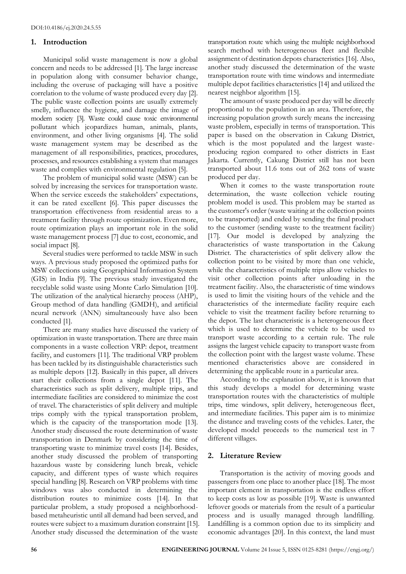# **1. Introduction**

Municipal solid waste management is now a global concern and needs to be addressed [1]. The large increase in population along with consumer behavior change, including the overuse of packaging will have a positive correlation to the volume of waste produced every day [2]. The public waste collection points are usually extremely smelly, influence the hygiene, and damage the image of modern society [3]. Waste could cause toxic environmental pollutant which jeopardizes human, animals, plants, environment, and other living organisms [4]. The solid waste management system may be described as the management of all responsibilities, practices, procedures, processes, and resources establishing a system that manages waste and complies with environmental regulation [5].

The problem of municipal solid waste (MSW) can be solved by increasing the services for transportation waste. When the service exceeds the stakeholders' expectations, it can be rated excellent [6]. This paper discusses the transportation effectiveness from residential areas to a treatment facility through route optimization. Even more, route optimization plays an important role in the solid waste management process [7] due to cost, economic, and social impact [8].

Several studies were performed to tackle MSW in such ways. A previous study proposed the optimized paths for MSW collections using Geographical Information System (GIS) in India [9]. The previous study investigated the recyclable solid waste using Monte Carlo Simulation [10]. The utilization of the analytical hierarchy process (AHP), Group method of data handling (GMDH), and artificial neural network (ANN) simultaneously have also been conducted [1].

There are many studies have discussed the variety of optimization in waste transportation. There are three main components in a waste collection VRP: depot, treatment facility, and customers [11]. The traditional VRP problem has been tackled by its distinguishable characteristics such as multiple depots [12]. Basically in this paper, all drivers start their collections from a single depot [11]. The characteristics such as split delivery, multiple trips, and intermediate facilities are considered to minimize the cost of travel. The characteristics of split delivery and multiple trips comply with the typical transportation problem, which is the capacity of the transportation mode [13]. Another study discussed the route determination of waste transportation in Denmark by considering the time of transporting waste to minimize travel costs [14]. Besides, another study discussed the problem of transporting hazardous waste by considering lunch break, vehicle capacity, and different types of waste which requires special handling [8]. Research on VRP problems with time windows was also conducted in determining the distribution routes to minimize costs [14]. In that particular problem, a study proposed a neighborhoodbased metaheuristic until all demand had been served, and routes were subject to a maximum duration constraint [15]. Another study discussed the determination of the waste

transportation route which using the multiple neighborhood search method with heterogeneous fleet and flexible assignment of destination depots characteristics [16]. Also, another study discussed the determination of the waste transportation route with time windows and intermediate multiple depot facilities characteristics [14] and utilized the nearest neighbor algorithm [15].

The amount of waste produced per day will be directly proportional to the population in an area. Therefore, the increasing population growth surely means the increasing waste problem, especially in terms of transportation. This paper is based on the observation in Cakung District, which is the most populated and the largest wasteproducing region compared to other districts in East Jakarta. Currently, Cakung District still has not been transported about 11.6 tons out of 262 tons of waste produced per day.

When it comes to the waste transportation route determination, the waste collection vehicle routing problem model is used. This problem may be started as the customer's order (waste waiting at the collection points to be transported) and ended by sending the final product to the customer (sending waste to the treatment facility) [17]. Our model is developed by analyzing the characteristics of waste transportation in the Cakung District. The characteristics of split delivery allow the collection point to be visited by more than one vehicle, while the characteristics of multiple trips allow vehicles to visit other collection points after unloading in the treatment facility. Also, the characteristic of time windows is used to limit the visiting hours of the vehicle and the characteristics of the intermediate facility require each vehicle to visit the treatment facility before returning to the depot. The last characteristic is a heterogeneous fleet which is used to determine the vehicle to be used to transport waste according to a certain rule. The rule assigns the largest vehicle capacity to transport waste from the collection point with the largest waste volume. These mentioned characteristics above are considered in determining the applicable route in a particular area.

According to the explanation above, it is known that this study develops a model for determining waste transportation routes with the characteristics of multiple trips, time windows, split delivery, heterogeneous fleet, and intermediate facilities. This paper aim is to minimize the distance and traveling costs of the vehicles. Later, the developed model proceeds to the numerical test in 7 different villages.

# **2. Literature Review**

Transportation is the activity of moving goods and passengers from one place to another place [18]. The most important element in transportation is the endless effort to keep costs as low as possible [19]. Waste is unwanted leftover goods or materials from the result of a particular process and is usually managed through landfilling. Landfilling is a common option due to its simplicity and economic advantages [20]. In this context, the land must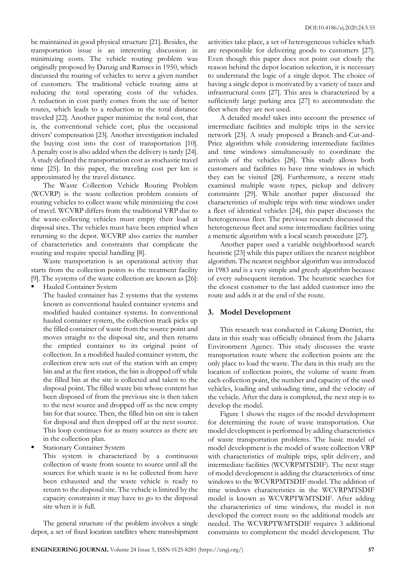be maintained in good physical structure [21]. Besides, the transportation issue is an interesting discussion in minimizing costs. The vehicle routing problem was originally proposed by Danzig and Ramses in 1950, which discussed the routing of vehicles to serve a given number of customers. The traditional vehicle routing aims at reducing the total operating costs of the vehicles. A reduction in cost partly comes from the use of better routes, which leads to a reduction in the total distance traveled [22]. Another paper minimize the total cost, that is, the conventional vehicle cost, plus the occasional drivers' compensation [23]. Another investigation included the buying cost into the cost of transportation [10]. A penalty cost is also added when the delivery is tardy [24]. A study defined the transportation cost as stochastic travel time [25]. In this paper, the traveling cost per km is approximated by the travel distance.

The Waste Collection Vehicle Routing Problem (WCVRP) is the waste collection problem consists of routing vehicles to collect waste while minimizing the cost of travel. WCVRP differs from the traditional VRP due to the waste-collecting vehicles must empty their load at disposal sites. The vehicles must have been emptied when returning to the depot. WCVRP also carries the number of characteristics and constraints that complicate the routing and require special handling [8].

Waste transportation is an operational activity that starts from the collection points to the treatment facility [9]. The systems of the waste collection are known as [26]:

Hauled Container System

The hauled container has 2 systems that the systems known as conventional hauled container systems and modified hauled container systems. In conventional hauled container system, the collection truck picks up the filled container of waste from the source point and moves straight to the disposal site, and then returns the emptied container to its original point of collection. In a modified hauled container system, the collection crew sets out of the station with an empty bin and at the first station, the bin is dropped off while the filled bin at the site is collected and taken to the disposal point. The filled waste bin whose content has been disposed of from the previous site is then taken to the next source and dropped off as the new empty bin for that source. Then, the filled bin on site is taken for disposal and then dropped off at the next source. This loop continues for as many sources as there are in the collection plan.

Stationary Container System

This system is characterized by a continuous collection of waste from source to source until all the sources for which waste is to be collected from have been exhausted and the waste vehicle is ready to return to the disposal site. The vehicle is limited by the capacity constraints it may have to go to the disposal site when it is full.

The general structure of the problem involves a single depot, a set of fixed location satellites where transshipment activities take place, a set of heterogeneous vehicles which are responsible for delivering goods to customers [27]. Even though this paper does not point out closely the reason behind the depot location selection, it is necessary to understand the logic of a single depot. The choice of having a single depot is motivated by a variety of taxes and infrastructural costs [27]. This area is characterized by a sufficiently large parking area [27] to accommodate the fleet when they are not used.

A detailed model takes into account the presence of intermediate facilities and multiple trips in the service network [23]. A study proposed a Branch-and-Cut-and-Price algorithm while considering intermediate facilities and time windows simultaneously to coordinate the arrivals of the vehicles [28]. This study allows both customers and facilities to have time windows in which they can be visited [28]. Furthermore, a recent study examined multiple waste types, pickup and delivery constraints [29]. While another paper discussed the characteristics of multiple trips with time windows under a fleet of identical vehicles [24], this paper discusses the heterogeneous fleet. The previous research discussed the heterogeneous fleet and some intermediate facilities using a memetic algorithm with a local search procedure [27].

Another paper used a variable neighborhood search heuristic [23] while this paper utilizes the nearest neighbor algorithm. The nearest neighbor algorithm was introduced in 1983 and is a very simple and greedy algorithm because of every subsequent iteration. The heuristic searches for the closest customer to the last added customer into the route and adds it at the end of the route.

# **3. Model Development**

This research was conducted in Cakung District, the data in this study was officially obtained from the Jakarta Environment Agency. This study discusses the waste transportation route where the collection points are the only place to load the waste. The data in this study are the location of collection points, the volume of waste from each collection point, the number and capacity of the used vehicles, loading and unloading time, and the velocity of the vehicle. After the data is completed, the next step is to develop the model.

Figure 1 shows the stages of the model development for determining the route of waste transportation. Our model development is performed by adding characteristics of waste transportation problems. The basic model of model development is the model of waste collection VRP with characteristics of multiple trips, split delivery, and intermediate facilities (WCVRPMTSDIF). The next stage of model development is adding the characteristics of time windows to the WCVRPMTSDIF model. The addition of time windows characteristics in the WCVRPMTSDIF model is known as WCVRPTWMTSDIF. After adding the characteristics of time windows, the model is not developed the correct route so the additional models are needed. The WCVRPTWMTSDIF requires 3 additional constraints to complement the model development. The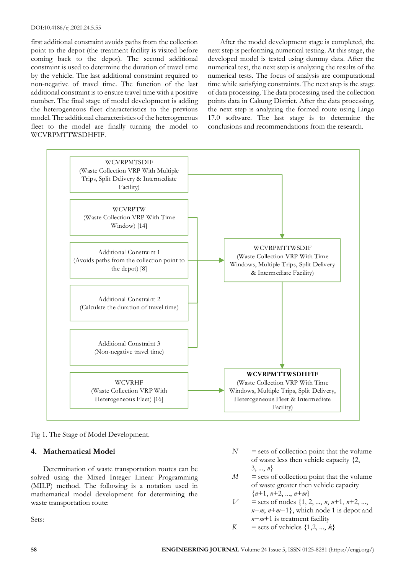#### DOI:10.4186/ej.2020.24.5.55

first additional constraint avoids paths from the collection point to the depot (the treatment facility is visited before coming back to the depot). The second additional constraint is used to determine the duration of travel time by the vehicle. The last additional constraint required to non-negative of travel time. The function of the last additional constraint is to ensure travel time with a positive number. The final stage of model development is adding the heterogeneous fleet characteristics to the previous model. The additional characteristics of the heterogeneous fleet to the model are finally turning the model to WCVRPMTTWSDHFIF.

After the model development stage is completed, the next step is performing numerical testing. At this stage, the developed model is tested using dummy data. After the numerical test, the next step is analyzing the results of the numerical tests. The focus of analysis are computational time while satisfying constraints. The next step is the stage of data processing. The data processing used the collection points data in Cakung District. After the data processing, the next step is analyzing the formed route using Lingo 17.0 software. The last stage is to determine the conclusions and recommendations from the research.



Fig 1. The Stage of Model Development.

# **4. Mathematical Model**

Determination of waste transportation routes can be solved using the Mixed Integer Linear Programming (MILP) method. The following is a notation used in mathematical model development for determining the waste transportation route:

Sets:

- $N =$  sets of collection point that the volume of waste less then vehicle capacity {2, 3, ..., *n*}
- $M =$  sets of collection point that the volume of waste greater then vehicle capacity {*n*+1, *n*+2, ..., *n*+*m*}
- $V =$  sets of nodes  $\{1, 2, ..., n, n+1, n+2, ...$  $n+m$ ,  $n+m+1$ }, which node 1 is depot and *n*+*m*+1 is treatment facility
- $K =$  sets of vehicles  $\{1, 2, ..., k\}$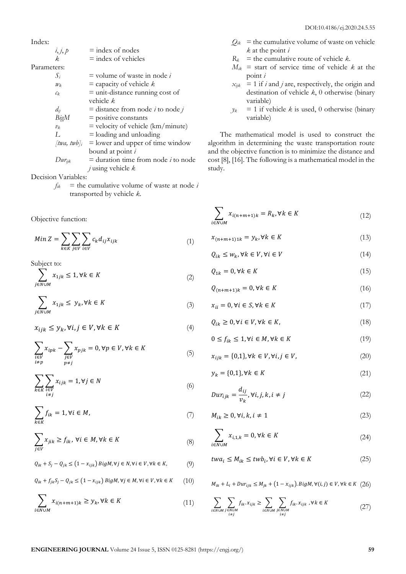Index:

 $i, j, p$  = index of nodes  $\vec{k}$  = index of vehicles Parameters:  $S_i$  = volume of waste in node *i*  $w_k$  = capacity of vehicle *k*  $c_k$  = unit-distance running cost of vehicle *k*  $d_{ij}$  = distance from node *i* to node *j BigM* = positive constants  $v_k$  = velocity of vehicle (km/minute) *L* = loading and unloading  $[twa, twb]$ <sup>*i*</sup> = lower and upper of time window bound at point *i*  $Dur_{ijk}$  = duration time from node *i* to node *j* using vehicle *k*

Decision Variables:

 $f_{ik}$  = the cumulative volume of waste at node *i* transported by vehicle *k*.

Objective function:

$$
Min Z = \sum_{k \in K} \sum_{j \in V} \sum_{i \in V} c_k d_{ij} x_{ijk} \tag{1}
$$

Subject to:

$$
\sum_{j \in N \cup M} x_{1jk} \le 1, \forall k \in K \tag{2}
$$

$$
\sum_{j \in N \cup M} x_{1jk} \leq y_k, \forall k \in K \tag{3}
$$

$$
x_{ijk} \le y_k, \forall i, j \in V, \forall k \in K \tag{4}
$$

$$
\sum_{\substack{i \in V \\ i \neq p}} x_{ipk} - \sum_{\substack{j \in V \\ p \neq j}} x_{pjk} = 0, \forall p \in V, \forall k \in K
$$
\n
$$
\tag{5}
$$

$$
\sum_{k \in K} \sum_{\substack{i \in V \\ i \neq j}} x_{ijk} = 1, \forall j \in N
$$
\n(6)

$$
\sum_{k \in K} f_{ik} = 1, \forall i \in M,
$$
\n(7)

$$
\sum_{j \in V} x_{jik} \ge f_{ik}, \,\forall i \in M, \forall k \in K
$$
\n(8)

$$
Q_{ik} + S_j - Q_{jk} \le (1 - x_{ijk}) BigM, \forall j \in N, \forall i \in V, \forall k \in K,
$$
 (9)

$$
Q_{ik} + f_{jk}S_j - Q_{jk} \le (1 - x_{ijk}) \, BigM, \forall j \in M, \forall i \in V, \forall k \in K \qquad (10)
$$

$$
\sum_{i \in N \cup M} x_{i(n+m+1)k} \ge y_k, \forall k \in K \tag{11}
$$

- $Q_{ik}$  = the cumulative volume of waste on vehicle *k* at the point *i*
- $R_k$  = the cumulative route of vehicle *k*.
- $M_{ik}$  = start of service time of vehicle *k* at the point *i*
- $x_{ijk}$  = 1 if *i* and *j* are, respectively, the origin and destination of vehicle *k*, 0 otherwise (binary variable)
- $y_k = 1$  if vehicle *k* is used, 0 otherwise (binary variable)

The mathematical model is used to construct the algorithm in determining the waste transportation route and the objective function is to minimize the distance and cost [8], [16]. The following is a mathematical model in the study.

$$
\sum_{i \in N \cup M} x_{i(n+m+1)k} = R_k, \forall k \in K
$$
\n(12)

$$
x_{(n+m+1)1k} = y_k, \forall k \in K \tag{13}
$$

$$
Q_{ik} \le w_k, \forall k \in V, \forall i \in V \tag{14}
$$

$$
Q_{1k} = 0, \forall k \in K \tag{15}
$$

$$
Q_{(n+m+1)k} = 0, \forall k \in K \tag{16}
$$

$$
x_{ii} = 0, \forall i \in S, \forall k \in K \tag{17}
$$

$$
Q_{ik} \ge 0, \forall i \in V, \forall k \in K,
$$
\n<sup>(18)</sup>

$$
0 \le f_{ik} \le 1, \forall i \in M, \forall k \in K \tag{19}
$$

$$
x_{ijk} = \{0,1\}, \forall k \in V, \forall i, j \in V,
$$
\n
$$
(20)
$$

$$
y_k = \{0, 1\}, \forall k \in K \tag{21}
$$

$$
Dur_{ijk} = \frac{d_{ij}}{v_k}, \forall i, j, k, i \neq j
$$
\n(22)

$$
M_{ik} \ge 0, \forall i, k, i \ne 1 \tag{23}
$$

$$
\sum_{i \in N \cup M} x_{i,1,k} = 0, \forall k \in K \tag{24}
$$

$$
twa_i \le M_{ik} \le twb_i, \forall i \in V, \forall k \in K
$$
\n
$$
(25)
$$

$$
M_{ik} + L_i + Dur_{ijk} \le M_{jk} + (1 - x_{ijk}).BigM, \forall (i, j) \in V, \forall k \in K \ (26)
$$

$$
\sum_{i \in N \cup M} \sum_{\substack{j \in N \cup M \\ i \neq j}} f_{ik} .x_{ijk} \ge \sum_{i \in N \cup M} \sum_{\substack{j \in N \cup M \\ i \neq j}} f_{ik} .x_{ijk} \ , \forall k \in K \tag{27}
$$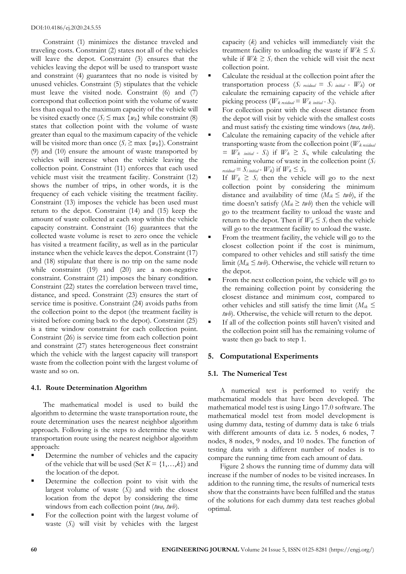Constraint (1) minimizes the distance traveled and traveling costs. Constraint (2) states not all of the vehicles will leave the depot. Constraint (3) ensures that the vehicles leaving the depot will be used to transport waste and constraint (4) guarantees that no node is visited by unused vehicles. Constraint (5) stipulates that the vehicle must leave the visited node. Constraint (6) and (7) correspond that collection point with the volume of waste less than equal to the maximum capacity of the vehicle will be visited exactly once  $(S_i \leq \max \{w_k\})$  while constraint (8) states that collection point with the volume of waste greater than equal to the maximum capacity of the vehicle will be visited more than once  $(S_i \geq \max \{w_k\})$ . Constraint (9) and (10) ensure the amount of waste transported by vehicles will increase when the vehicle leaving the collection point. Constraint (11) enforces that each used vehicle must visit the treatment facility. Constraint (12) shows the number of trips, in other words, it is the frequency of each vehicle visiting the treatment facility. Constraint (13) imposes the vehicle has been used must return to the depot. Constraint (14) and (15) keep the amount of waste collected at each stop within the vehicle capacity constraint. Constraint (16) guarantees that the collected waste volume is reset to zero once the vehicle has visited a treatment facility, as well as in the particular instance when the vehicle leaves the depot. Constraint (17) and (18) stipulate that there is no trip on the same node while constraint (19) and (20) are a non-negative constraint. Constraint (21) imposes the binary condition. Constraint (22) states the correlation between travel time, distance, and speed. Constraint (23) ensures the start of service time is positive. Constraint (24) avoids paths from the collection point to the depot (the treatment facility is visited before coming back to the depot). Constraint (25) is a time window constraint for each collection point. Constraint (26) is service time from each collection point and constraint (27) states heterogeneous fleet constraint which the vehicle with the largest capacity will transport waste from the collection point with the largest volume of waste and so on.

#### **4.1. Route Determination Algorithm**

The mathematical model is used to build the algorithm to determine the waste transportation route, the route determination uses the nearest neighbor algorithm approach. Following is the steps to determine the waste transportation route using the nearest neighbor algorithm approach:

- Determine the number of vehicles and the capacity of the vehicle that will be used (Set  $K = \{1, \ldots, k\}$ ) and the location of the depot.
- Determine the collection point to visit with the largest volume of waste  $(S_i)$  and with the closest location from the depot by considering the time windows from each collection point (*twa, twb*).
- For the collection point with the largest volume of waste (*Si*) will visit by vehicles with the largest

capacity (*k*) and vehicles will immediately visit the treatment facility to unloading the waste if  $Wk \leq S_i$ while if  $Wk \geq S_i$  then the vehicle will visit the next collection point.

- Calculate the residual at the collection point after the transportation process  $(S_i \text{ residual} = S_i \text{ initial - } W_k)$  or calculate the remaining capacity of the vehicle after picking process ( $W_k$  *residual* =  $W_k$  *initial* -  $S_i$ ).
- For collection point with the closest distance from the depot will visit by vehicle with the smallest costs and must satisfy the existing time windows (*twa, twb*).
- Calculate the remaining capacity of the vehicle after transporting waste from the collection point (*Wk residual*   $= W_k$  *initial - S<sub>i</sub>*) if  $W_k \geq S_i$ , while calculating the remaining volume of waste in the collection point  $(S_i)$ *residual* =  $S_i$  *initial* -  $W_k$  if  $W_k \leq S_i$ .
- If  $W_k \geq S_i$  then the vehicle will go to the next collection point by considering the minimum distance and availability of time  $(M_{ik} \leq twb)$ , if the time doesn't satisfy  $(M_{ik} \geq twb)$  then the vehicle will go to the treatment facility to unload the waste and return to the depot. Then if  $W_k \leq S_i$  then the vehicle will go to the treatment facility to unload the waste.
- From the treatment facility, the vehicle will go to the closest collection point if the cost is minimum, compared to other vehicles and still satisfy the time limit ( $M_{ik} \leq twb$ ). Otherwise, the vehicle will return to the depot.
- From the next collection point, the vehicle will go to the remaining collection point by considering the closest distance and minimum cost, compared to other vehicles and still satisfy the time limit ( $M_{ik} \leq$ *twb*). Otherwise, the vehicle will return to the depot.
- **If all of the collection points still haven't visited and** the collection point still has the remaining volume of waste then go back to step 1.

# **5. Computational Experiments**

# **5.1. The Numerical Test**

A numerical test is performed to verify the mathematical models that have been developed. The mathematical model test is using Lingo 17.0 software. The mathematical model test from model development is using dummy data, testing of dummy data is take 6 trials with different amounts of data i.e. 5 nodes, 6 nodes, 7 nodes, 8 nodes, 9 nodes, and 10 nodes. The function of testing data with a different number of nodes is to compare the running time from each amount of data.

Figure 2 shows the running time of dummy data will increase if the number of nodes to be visited increases. In addition to the running time, the results of numerical tests show that the constraints have been fulfilled and the status of the solutions for each dummy data test reaches global optimal.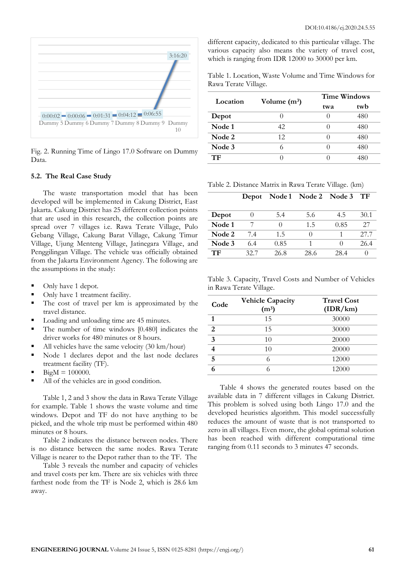

Fig. 2. Running Time of Lingo 17.0 Software on Dummy Data.

#### **5.2. The Real Case Study**

The waste transportation model that has been developed will be implemented in Cakung District, East Jakarta. Cakung District has 25 different collection points that are used in this research, the collection points are spread over 7 villages i.e. Rawa Terate Village, Pulo Gebang Village, Cakung Barat Village, Cakung Timur Village, Ujung Menteng Village, Jatinegara Village, and Penggilingan Village. The vehicle was officially obtained from the Jakarta Environment Agency. The following are the assumptions in the study:

- Only have 1 depot.
- Only have 1 treatment facility.
- The cost of travel per km is approximated by the travel distance.
- Loading and unloading time are 45 minutes.
- The number of time windows [0.480] indicates the driver works for 480 minutes or 8 hours.
- All vehicles have the same velocity  $(30 \text{ km/hour})$
- Node 1 declares depot and the last node declares treatment facility (TF).
- $BigM = 100000$ .
- All of the vehicles are in good condition.

Table 1, 2 and 3 show the data in Rawa Terate Village for example. Table 1 shows the waste volume and time windows. Depot and TF do not have anything to be picked, and the whole trip must be performed within 480 minutes or 8 hours.

Table 2 indicates the distance between nodes. There is no distance between the same nodes. Rawa Terate Village is nearer to the Depot rather than to the TF. The

Table 3 reveals the number and capacity of vehicles and travel costs per km. There are six vehicles with three farthest node from the TF is Node 2, which is 28.6 km away.

different capacity, dedicated to this particular village. The various capacity also means the variety of travel cost, which is ranging from IDR 12000 to 30000 per km.

Table 1. Location, Waste Volume and Time Windows for Rawa Terate Village.

| Location | Volume $(m^3)$ | <b>Time Windows</b> |     |  |
|----------|----------------|---------------------|-----|--|
|          |                | twa                 | twb |  |
| Depot    |                |                     | 480 |  |
| Node 1   | 42.            |                     | 480 |  |
| Node 2   | 12             |                     | 480 |  |
| Node 3   |                | $\Box$              | 480 |  |
| TF       |                |                     |     |  |

Table 2. Distance Matrix in Rawa Terate Village. (km)

|        |      |                  | Depot Node 1 Node 2 Node 3 |      | TF               |
|--------|------|------------------|----------------------------|------|------------------|
|        |      |                  |                            |      |                  |
| Depot  |      | 5.4              | 5.6                        | 4.5  | 30.1             |
| Node 1 |      | $\left( \right)$ | 1.5                        | 0.85 | 27               |
| Node 2 | 7.4  | 1.5              |                            |      | 27.7             |
| Node 3 | 6.4  | 0.85             |                            |      | 26.4             |
| TF     | 32.7 | 26.8             | 28.6                       | 28.4 | $\left( \right)$ |

Table 3. Capacity, Travel Costs and Number of Vehicles in Rawa Terate Village.

| Code           | <b>Vehicle Capacity</b><br>$(m^3)$ | <b>Travel Cost</b><br>(IDR/km) |
|----------------|------------------------------------|--------------------------------|
| 1              | 15                                 | 30000                          |
| $\overline{2}$ | 15                                 | 30000                          |
| $\mathbf{3}$   | 10                                 | 20000                          |
| 4              | 10                                 | 20000                          |
| $\overline{5}$ | 6                                  | 12000                          |
|                | 6                                  | 12000                          |

Table 4 shows the generated routes based on the available data in 7 different villages in Cakung District. This problem is solved using both Lingo 17.0 and the developed heuristics algorithm. This model successfully reduces the amount of waste that is not transported to zero in all villages. Even more, the global optimal solution has been reached with different computational time ranging from 0.11 seconds to 3 minutes 47 seconds.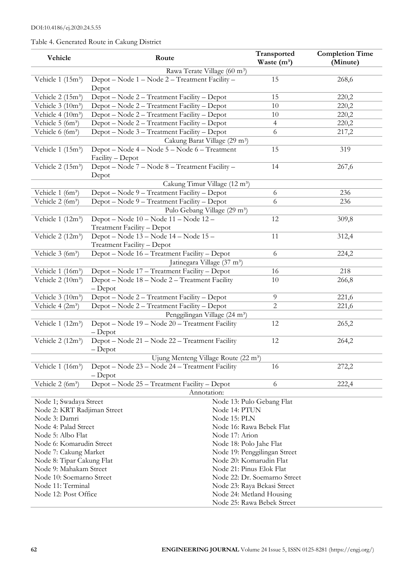# Table 4. Generated Route in Cakung District

| Vehicle                                                                                                   | Route                                                             | Transported<br>Waste $(m^3)$ | <b>Completion Time</b> |  |  |  |
|-----------------------------------------------------------------------------------------------------------|-------------------------------------------------------------------|------------------------------|------------------------|--|--|--|
|                                                                                                           | (Minute)                                                          |                              |                        |  |  |  |
| Rawa Terate Village (60 m <sup>3</sup> )<br>Depot - Node 1 - Node 2 - Treatment Facility -<br>15<br>268,6 |                                                                   |                              |                        |  |  |  |
| Vehicle $1(15m^3)$                                                                                        | Depot                                                             |                              |                        |  |  |  |
| Vehicle 2 (15m <sup>3</sup> )                                                                             | Depot - Node 2 - Treatment Facility - Depot                       | 15                           | 220,2                  |  |  |  |
| Vehicle $3(10m^3)$                                                                                        | Depot – Node 2 – Treatment Facility – Depot                       | 10                           | 220,2                  |  |  |  |
| Vehicle 4 $(10m^3)$                                                                                       | Depot - Node 2 - Treatment Facility - Depot                       | $10\,$                       | 220,2                  |  |  |  |
| Vehicle 5 (6m <sup>3</sup> )                                                                              | Depot - Node 2 - Treatment Facility - Depot                       | $\overline{4}$               | 220,2                  |  |  |  |
| Vehicle $6(6m^3)$                                                                                         | Depot – Node 3 – Treatment Facility – Depot                       | 6                            | 217,2                  |  |  |  |
|                                                                                                           | Cakung Barat Village (29 m <sup>3</sup> )                         |                              |                        |  |  |  |
| Vehicle $1(15m^3)$                                                                                        | Depot - Node 4 - Node 5 - Node 6 - Treatment<br>Facility - Depot  | 15                           | 319                    |  |  |  |
| Vehicle 2 (15m <sup>3</sup> )                                                                             | Depot - Node 7 - Node 8 - Treatment Facility -<br>Depot           | 14                           | 267,6                  |  |  |  |
|                                                                                                           | Cakung Timur Village (12 m <sup>3</sup> )                         |                              |                        |  |  |  |
| Vehicle 1 (6m <sup>3</sup> )                                                                              | Depot - Node 9 - Treatment Facility - Depot                       | 6                            | 236                    |  |  |  |
| Vehicle $2(6m^3)$                                                                                         | Depot - Node 9 - Treatment Facility - Depot                       | 6                            | 236                    |  |  |  |
|                                                                                                           | Pulo Gebang Village (29 m <sup>3</sup> )                          |                              |                        |  |  |  |
| Vehicle 1 (12m <sup>3</sup> )                                                                             | Depot - Node 10 - Node 11 - Node 12 -                             | 12                           | 309,8                  |  |  |  |
|                                                                                                           | Treatment Facility - Depot                                        |                              |                        |  |  |  |
| Vehicle 2 (12m <sup>3</sup> )                                                                             | Depot – Node 13 – Node 14 – Node 15 –                             | 11                           | 312,4                  |  |  |  |
|                                                                                                           | Treatment Facility - Depot                                        |                              |                        |  |  |  |
| Vehicle 3 (6m <sup>3</sup> )                                                                              | Depot - Node 16 - Treatment Facility - Depot                      | 6                            | 224,2                  |  |  |  |
|                                                                                                           | Jatinegara Village (37 m <sup>3</sup> )                           |                              |                        |  |  |  |
| Vehicle 1 (16m <sup>3</sup> )                                                                             | Depot - Node 17 - Treatment Facility - Depot                      | 16                           | 218                    |  |  |  |
| Vehicle $2(10m^3)$                                                                                        | Depot – Node 18 – Node 2 – Treatment Facility<br>$-$ Depot        | 10                           | 266,8                  |  |  |  |
| Vehicle 3 (10m <sup>3</sup> )                                                                             | Depot - Node 2 - Treatment Facility - Depot                       | 9                            | 221,6                  |  |  |  |
| Vehicle 4 (2m <sup>3</sup> )                                                                              | Depot - Node 2 - Treatment Facility - Depot                       | 2                            | 221,6                  |  |  |  |
|                                                                                                           | Penggilingan Village (24 m <sup>3</sup> )                         |                              |                        |  |  |  |
| Vehicle 1 $(12m^3)$                                                                                       | Depot - Node 19 - Node 20 - Treatment Facility<br>$-\text{Depot}$ | 12                           | 265,2                  |  |  |  |
| Vehicle $2(12m^3)$                                                                                        | Depot - Node 21 - Node 22 - Treatment Facility<br>$-\text{Depot}$ | 12                           | 264,2                  |  |  |  |
|                                                                                                           | Ujung Menteng Village Route (22 m <sup>3</sup> )                  |                              |                        |  |  |  |
| Vehicle $1(16m^3)$                                                                                        | Depot – Node 23 – Node 24 – Treatment Facility                    | 16                           | 272,2                  |  |  |  |
|                                                                                                           | $-\text{Depot}$                                                   |                              |                        |  |  |  |
| Vehicle 2 (6m <sup>3</sup> )                                                                              | Depot - Node 25 - Treatment Facility - Depot                      | 6                            | 222,4                  |  |  |  |
|                                                                                                           | Annotation:                                                       |                              |                        |  |  |  |
| Node 1; Swadaya Street                                                                                    |                                                                   | Node 13: Pulo Gebang Flat    |                        |  |  |  |
| Node 2: KRT Radjiman Street                                                                               | Node 14: PTUN                                                     |                              |                        |  |  |  |
| Node 3: Damri                                                                                             | Node 15: PLN                                                      |                              |                        |  |  |  |
| Node 4: Palad Street                                                                                      |                                                                   | Node 16: Rawa Bebek Flat     |                        |  |  |  |
| Node 5: Albo Flat                                                                                         | Node 17: Arion                                                    |                              |                        |  |  |  |
| Node 6: Komarudin Street                                                                                  |                                                                   | Node 18: Polo Jahe Flat      |                        |  |  |  |
| Node 7: Cakung Market                                                                                     |                                                                   | Node 19: Penggilingan Street |                        |  |  |  |
| Node 8: Tipar Cakung Flat                                                                                 |                                                                   | Node 20: Komarudin Flat      |                        |  |  |  |
| Node 9: Mahakam Street                                                                                    |                                                                   | Node 21: Pinus Elok Flat     |                        |  |  |  |
| Node 10: Soemarno Street                                                                                  |                                                                   | Node 22: Dr. Soemarno Street |                        |  |  |  |
| Node 11: Terminal                                                                                         |                                                                   | Node 23: Raya Bekasi Street  |                        |  |  |  |
| Node 12: Post Office                                                                                      |                                                                   | Node 24: Metland Housing     |                        |  |  |  |
|                                                                                                           |                                                                   | Node 25: Rawa Bebek Street   |                        |  |  |  |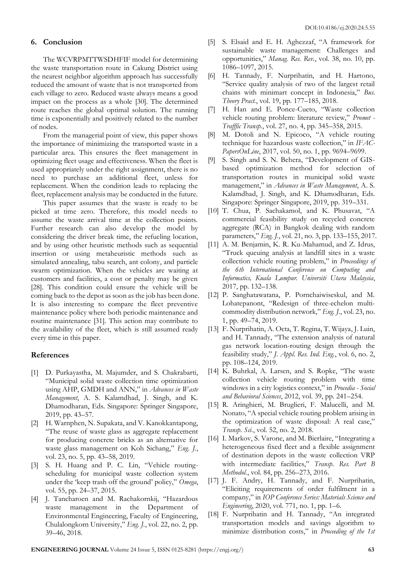### **6. Conclusion**

The WCVRPMTTWSDHFIF model for determining the waste transportation route in Cakung District using the nearest neighbor algorithm approach has successfully reduced the amount of waste that is not transported from each village to zero. Reduced waste always means a good impact on the process as a whole [30]. The determined route reaches the global optimal solution. The running time is exponentially and positively related to the number of nodes.

From the managerial point of view, this paper shows the importance of minimizing the transported waste in a particular area. This ensures the fleet management in optimizing fleet usage and effectiveness. When the fleet is used appropriately under the right assignment, there is no need to purchase an additional fleet, unless for replacement. When the condition leads to replacing the fleet, replacement analysis may be conducted in the future.

This paper assumes that the waste is ready to be picked at time zero. Therefore, this model needs to assume the waste arrival time at the collection points. Further research can also develop the model by considering the driver break time, the refueling location, and by using other heuristic methods such as sequential insertion or using metaheuristic methods such as simulated annealing, tabu search, ant colony, and particle swarm optimization. When the vehicles are waiting at customers and facilities, a cost or penalty may be given [28]. This condition could ensure the vehicle will be coming back to the depot as soon as the job has been done. It is also interesting to compare the fleet preventive maintenance policy where both periodic maintenance and routine maintenance [31]. This action may contribute to the availability of the fleet, which is still assumed ready every time in this paper.

# **References**

- [1] D. Purkayastha, M. Majumder, and S. Chakrabarti, "Municipal solid waste collection time optimization using AHP, GMDH and ANN," in *Advances in Waste Management*, A. S. Kalamdhad, J. Singh, and K. Dhamodharan, Eds. Singapore: Springer Singapore, 2019, pp. 43–57.
- [2] H. Warnphen, N. Supakata, and V. Kanokkantapong, "The reuse of waste glass as aggregate replacement for producing concrete bricks as an alternative for waste glass management on Koh Sichang," *Eng. J.*, vol. 23, no. 5, pp. 43–58, 2019.
- [3] S. H. Huang and P. C. Lin, "Vehicle routingscheduling for municipal waste collection system under the 'keep trash off the ground' policy," *Omega*, vol. 55, pp. 24–37, 2015.
- [4] J. Tancharoen and M. Rachakornkij, "Hazardous waste management in the Department of Environmental Engineering, Faculty of Engineering, Chulalongkorn University," *Eng. J.*, vol. 22, no. 2, pp. 39–46, 2018.
- [5] S. Elsaid and E. H. Aghezzaf, "A framework for sustainable waste management: Challenges and opportunities," *Manag. Res. Rev.*, vol. 38, no. 10, pp. 1086–1097, 2015.
- [6] H. Tannady, F. Nurprihatin, and H. Hartono, "Service quality analysis of two of the largest retail chains with minimart concept in Indonesia," *Bus. Theory Pract.*, vol. 19, pp. 177–185, 2018.
- [7] H. Han and E. Ponce-Cueto, "Waste collection vehicle routing problem: literature review," *Promet - Trafffic Transp.*, vol. 27, no. 4, pp. 345–358, 2015.
- [8] M. Dotoli and N. Epicoco, "A vehicle routing technique for hazardous waste collection," in *IFAC-PapersOnLine*, 2017, vol. 50, no. 1, pp. 9694–9699.
- [9] S. Singh and S. N. Behera, "Development of GISbased optimization method for selection of transportation routes in municipal solid waste management," in *Advances in Waste Management*, A. S. Kalamdhad, J. Singh, and K. Dhamodharan, Eds. Singapore: Springer Singapore, 2019, pp. 319–331.
- [10] T. Chua, P. Sachakamol, and K. Phusavat, "A commercial feasibility study on recycled concrete aggregate (RCA) in Bangkok dealing with random parameters," *Eng. J.*, vol. 21, no. 3, pp. 133–155, 2017.
- [11] A. M. Benjamin, K. R. Ku-Mahamud, and Z. Idrus, "Truck queuing analysis at landfill sites in a waste collection vehicle routing problem," in *Proceedings of the 6th International Conference on Computing and Informatics, Kuala Lumpur. Universiti Utara Malaysia*, 2017, pp. 132–138.
- [12] P. Sanghatawatana, P. Pornchaiwiseskul, and M. Lohatepanont, "Redesign of three-echelon multicommodity distribution network," *Eng. J.*, vol. 23, no. 1, pp. 49–74, 2019.
- [13] F. Nurprihatin, A. Octa, T. Regina, T. Wijaya, J. Luin, and H. Tannady, "The extension analysis of natural gas network location-routing design through the feasibility study," *J. Appl. Res. Ind. Eng.*, vol. 6, no. 2, pp. 108–124, 2019.
- [14] K. Buhrkal, A. Larsen, and S. Ropke, "The waste collection vehicle routing problem with time windows in a city logistics context," in *Procedia - Social and Behavioral Sciences*, 2012, vol. 39, pp. 241–254.
- [15] R. Aringhieri, M. Bruglieri, F. Malucelli, and M. Nonato, "A special vehicle routing problem arising in the optimization of waste disposal: A real case," *Transp. Sci.*, vol. 52, no. 2, 2018.
- [16] I. Markov, S. Varone, and M. Bierlaire, "Integrating a heterogeneous fixed fleet and a flexible assignment of destination depots in the waste collection VRP with intermediate facilities," *Transp. Res. Part B Methodol.*, vol. 84, pp. 256–273, 2016.
- [17] J. F. Andry, H. Tannady, and F. Nurprihatin, "Eliciting requirements of order fulfilment in a company," in *IOP Conference Series: Materials Science and Engineering*, 2020, vol. 771, no. 1, pp. 1–6.
- [18] F. Nurprihatin and H. Tannady, "An integrated transportation models and savings algorithm to minimize distribution costs," in *Proceeding of the 1st*